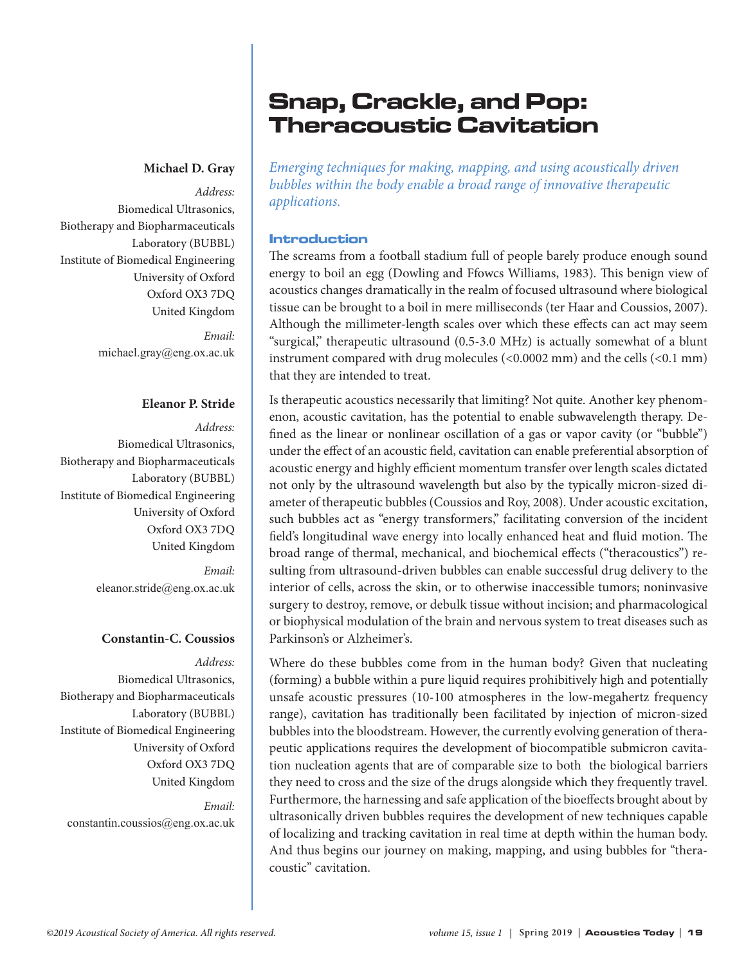#### **Michael D. Gray**

*Address:*  Biomedical Ultrasonics, Biotherapy and Biopharmaceuticals Laboratory (BUBBL) Institute of Biomedical Engineering University of Oxford Oxford OX3 7DQ United Kingdom

> *Email:* [michael.gray@eng.ox.ac.uk](mailto:michael.gray@eng.ox.ac.uk)

### **Eleanor P. Stride**

*Address:*  Biomedical Ultrasonics, Biotherapy and Biopharmaceuticals Laboratory (BUBBL) Institute of Biomedical Engineering University of Oxford Oxford OX3 7DQ United Kingdom

> *Email:* [eleanor.stride@eng.ox.ac.uk](mailto:eleanor.stride@eng.ox.ac.uk)

## **Constantin-C. Coussios**

*Address:*  Biomedical Ultrasonics, Biotherapy and Biopharmaceuticals Laboratory (BUBBL) Institute of Biomedical Engineering University of Oxford Oxford OX3 7DQ United Kingdom

*Email:* [constantin.coussios@eng.ox.ac.uk](mailto:constantin.coussios@eng.ox.ac.uk)

## Snap, Crackle, and Pop: Theracoustic Cavitation

*Emerging techniques for making, mapping, and using acoustically driven bubbles within the body enable a broad range of innovative therapeutic applications.* 

#### Introduction

The screams from a football stadium full of people barely produce enough sound energy to boil an egg (Dowling and Ffowcs Williams, 1983). This benign view of acoustics changes dramatically in the realm of focused ultrasound where biological tissue can be brought to a boil in mere milliseconds (ter Haar and Coussios, 2007). Although the millimeter-length scales over which these effects can act may seem "surgical," therapeutic ultrasound (0.5-3.0 MHz) is actually somewhat of a blunt instrument compared with drug molecules (<0.0002 mm) and the cells (<0.1 mm) that they are intended to treat.

Is therapeutic acoustics necessarily that limiting? Not quite. Another key phenomenon, acoustic cavitation, has the potential to enable subwavelength therapy. Defined as the linear or nonlinear oscillation of a gas or vapor cavity (or "bubble") under the effect of an acoustic field, cavitation can enable preferential absorption of acoustic energy and highly efficient momentum transfer over length scales dictated not only by the ultrasound wavelength but also by the typically micron-sized diameter of therapeutic bubbles (Coussios and Roy, 2008). Under acoustic excitation, such bubbles act as "energy transformers," facilitating conversion of the incident field's longitudinal wave energy into locally enhanced heat and fluid motion. The broad range of thermal, mechanical, and biochemical effects ("theracoustics") resulting from ultrasound-driven bubbles can enable successful drug delivery to the interior of cells, across the skin, or to otherwise inaccessible tumors; noninvasive surgery to destroy, remove, or debulk tissue without incision; and pharmacological or biophysical modulation of the brain and nervous system to treat diseases such as Parkinson's or Alzheimer's.

Where do these bubbles come from in the human body? Given that nucleating (forming) a bubble within a pure liquid requires prohibitively high and potentially unsafe acoustic pressures (10-100 atmospheres in the low-megahertz frequency range), cavitation has traditionally been facilitated by injection of micron-sized bubbles into the bloodstream. However, the currently evolving generation of therapeutic applications requires the development of biocompatible submicron cavitation nucleation agents that are of comparable size to both the biological barriers they need to cross and the size of the drugs alongside which they frequently travel. Furthermore, the harnessing and safe application of the bioeffects brought about by ultrasonically driven bubbles requires the development of new techniques capable of localizing and tracking cavitation in real time at depth within the human body. And thus begins our journey on making, mapping, and using bubbles for "theracoustic" cavitation.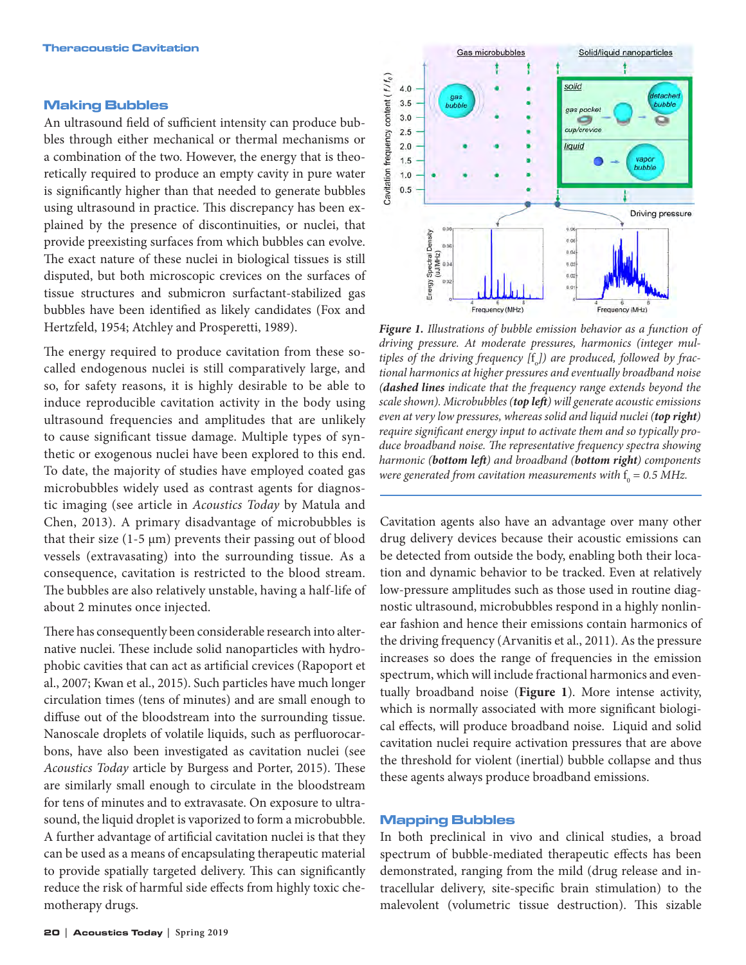#### Making Bubbles

An ultrasound field of sufficient intensity can produce bubbles through either mechanical or thermal mechanisms or a combination of the two. However, the energy that is theoretically required to produce an empty cavity in pure water is significantly higher than that needed to generate bubbles using ultrasound in practice. This discrepancy has been explained by the presence of discontinuities, or nuclei, that provide preexisting surfaces from which bubbles can evolve. The exact nature of these nuclei in biological tissues is still disputed, but both microscopic crevices on the surfaces of tissue structures and submicron surfactant-stabilized gas bubbles have been identified as likely candidates (Fox and Hertzfeld, 1954; Atchley and Prosperetti, 1989).

The energy required to produce cavitation from these socalled endogenous nuclei is still comparatively large, and so, for safety reasons, it is highly desirable to be able to induce reproducible cavitation activity in the body using ultrasound frequencies and amplitudes that are unlikely to cause significant tissue damage. Multiple types of synthetic or exogenous nuclei have been explored to this end. To date, the majority of studies have employed coated gas microbubbles widely used as contrast agents for diagnostic imaging (see article in *Acoustics Today* by Matula and Chen, 2013). A primary disadvantage of microbubbles is that their size  $(1-5 \mu m)$  prevents their passing out of blood vessels (extravasating) into the surrounding tissue. As a consequence, cavitation is restricted to the blood stream. The bubbles are also relatively unstable, having a half-life of about 2 minutes once injected.

There has consequently been considerable research into alternative nuclei. These include solid nanoparticles with hydrophobic cavities that can act as artificial crevices (Rapoport et al., 2007; Kwan et al., 2015). Such particles have much longer circulation times (tens of minutes) and are small enough to diffuse out of the bloodstream into the surrounding tissue. Nanoscale droplets of volatile liquids, such as perfluorocarbons, have also been investigated as cavitation nuclei (see *Acoustics Today* article by Burgess and Porter, 2015). These are similarly small enough to circulate in the bloodstream for tens of minutes and to extravasate. On exposure to ultrasound, the liquid droplet is vaporized to form a microbubble. A further advantage of artificial cavitation nuclei is that they can be used as a means of encapsulating therapeutic material to provide spatially targeted delivery. This can significantly reduce the risk of harmful side effects from highly toxic chemotherapy drugs.



*Figure 1. Illustrations of bubble emission behavior as a function of driving pressure. At moderate pressures, harmonics (integer mul*tiples of the driving frequency [f<sub>o</sub>]) are produced, followed by frac*tional harmonics at higher pressures and eventually broadband noise (dashed lines indicate that the frequency range extends beyond the scale shown). Microbubbles (top left) will generate acoustic emissions even at very low pressures, whereas solid and liquid nuclei (top right) require significant energy input to activate them and so typically produce broadband noise. The representative frequency spectra showing harmonic (bottom left) and broadband (bottom right) components*  were generated from cavitation measurements with  $\rm f_{o}$  = 0.5 MHz.

Cavitation agents also have an advantage over many other drug delivery devices because their acoustic emissions can be detected from outside the body, enabling both their location and dynamic behavior to be tracked. Even at relatively low-pressure amplitudes such as those used in routine diagnostic ultrasound, microbubbles respond in a highly nonlinear fashion and hence their emissions contain harmonics of the driving frequency (Arvanitis et al., 2011). As the pressure increases so does the range of frequencies in the emission spectrum, which will include fractional harmonics and eventually broadband noise (**Figure 1**). More intense activity, which is normally associated with more significant biological effects, will produce broadband noise. Liquid and solid cavitation nuclei require activation pressures that are above the threshold for violent (inertial) bubble collapse and thus these agents always produce broadband emissions.

#### Mapping Bubbles

In both preclinical in vivo and clinical studies, a broad spectrum of bubble-mediated therapeutic effects has been demonstrated, ranging from the mild (drug release and intracellular delivery, site-specific brain stimulation) to the malevolent (volumetric tissue destruction). This sizable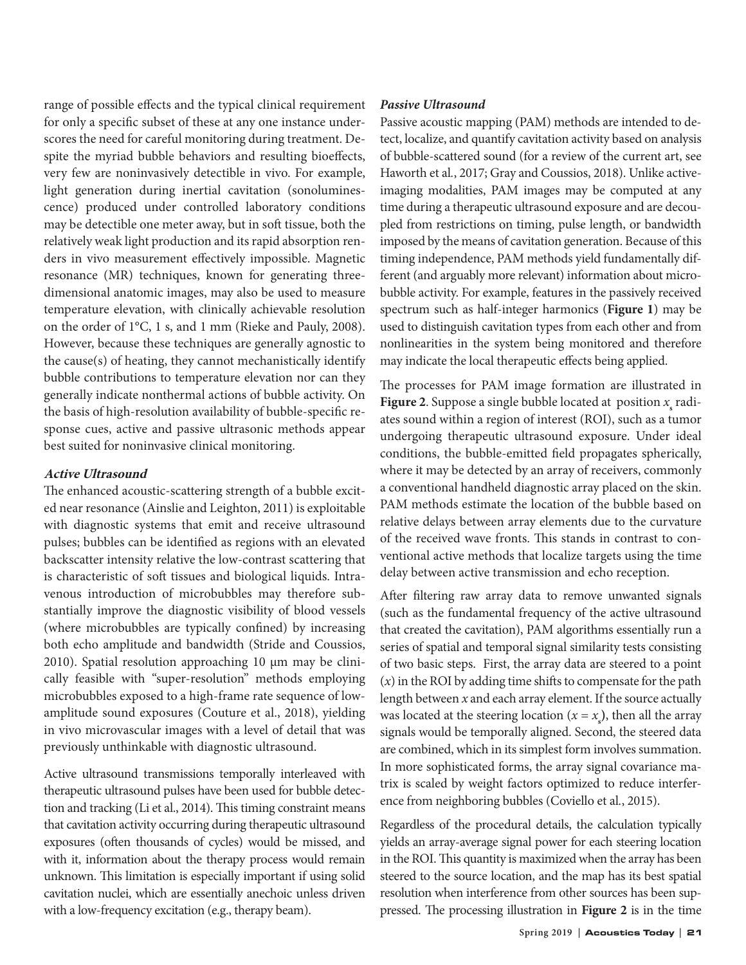range of possible effects and the typical clinical requirement for only a specific subset of these at any one instance underscores the need for careful monitoring during treatment. Despite the myriad bubble behaviors and resulting bioeffects, very few are noninvasively detectible in vivo. For example, light generation during inertial cavitation (sonoluminescence) produced under controlled laboratory conditions may be detectible one meter away, but in soft tissue, both the relatively weak light production and its rapid absorption renders in vivo measurement effectively impossible. Magnetic resonance (MR) techniques, known for generating threedimensional anatomic images, may also be used to measure temperature elevation, with clinically achievable resolution on the order of 1°C, 1 s, and 1 mm (Rieke and Pauly, 2008). However, because these techniques are generally agnostic to the cause(s) of heating, they cannot mechanistically identify bubble contributions to temperature elevation nor can they generally indicate nonthermal actions of bubble activity. On the basis of high-resolution availability of bubble-specific response cues, active and passive ultrasonic methods appear best suited for noninvasive clinical monitoring.

## **Active Ultrasound**

The enhanced acoustic-scattering strength of a bubble excited near resonance (Ainslie and Leighton, 2011) is exploitable with diagnostic systems that emit and receive ultrasound pulses; bubbles can be identified as regions with an elevated backscatter intensity relative the low-contrast scattering that is characteristic of soft tissues and biological liquids. Intravenous introduction of microbubbles may therefore substantially improve the diagnostic visibility of blood vessels (where microbubbles are typically confined) by increasing both echo amplitude and bandwidth (Stride and Coussios, 2010). Spatial resolution approaching 10 μm may be clinically feasible with "super-resolution" methods employing microbubbles exposed to a high-frame rate sequence of lowamplitude sound exposures (Couture et al., 2018), yielding in vivo microvascular images with a level of detail that was previously unthinkable with diagnostic ultrasound.

Active ultrasound transmissions temporally interleaved with therapeutic ultrasound pulses have been used for bubble detection and tracking (Li et al., 2014). This timing constraint means that cavitation activity occurring during therapeutic ultrasound exposures (often thousands of cycles) would be missed, and with it, information about the therapy process would remain unknown. This limitation is especially important if using solid cavitation nuclei, which are essentially anechoic unless driven with a low-frequency excitation (e.g., therapy beam).

### *Passive Ultrasound*

Passive acoustic mapping (PAM) methods are intended to detect, localize, and quantify cavitation activity based on analysis of bubble-scattered sound (for a review of the current art, see Haworth et al*.*, 2017; Gray and Coussios, 2018). Unlike activeimaging modalities, PAM images may be computed at any time during a therapeutic ultrasound exposure and are decoupled from restrictions on timing, pulse length, or bandwidth imposed by the means of cavitation generation. Because of this timing independence, PAM methods yield fundamentally different (and arguably more relevant) information about microbubble activity. For example, features in the passively received spectrum such as half-integer harmonics (**Figure 1**) may be used to distinguish cavitation types from each other and from nonlinearities in the system being monitored and therefore may indicate the local therapeutic effects being applied.

The processes for PAM image formation are illustrated in **Figure 2.** Suppose a single bubble located at position  $x_s$  radiates sound within a region of interest (ROI), such as a tumor undergoing therapeutic ultrasound exposure. Under ideal conditions, the bubble-emitted field propagates spherically, where it may be detected by an array of receivers, commonly a conventional handheld diagnostic array placed on the skin. PAM methods estimate the location of the bubble based on relative delays between array elements due to the curvature of the received wave fronts. This stands in contrast to conventional active methods that localize targets using the time delay between active transmission and echo reception.

After filtering raw array data to remove unwanted signals (such as the fundamental frequency of the active ultrasound that created the cavitation), PAM algorithms essentially run a series of spatial and temporal signal similarity tests consisting of two basic steps. First, the array data are steered to a point (*x*) in the ROI by adding time shifts to compensate for the path length between *x* and each array element. If the source actually was located at the steering location  $(x = x_s)$ , then all the array signals would be temporally aligned. Second, the steered data are combined, which in its simplest form involves summation. In more sophisticated forms, the array signal covariance matrix is scaled by weight factors optimized to reduce interference from neighboring bubbles (Coviello et al*.*, 2015).

Regardless of the procedural details, the calculation typically yields an array-average signal power for each steering location in the ROI. This quantity is maximized when the array has been steered to the source location, and the map has its best spatial resolution when interference from other sources has been suppressed. The processing illustration in **Figure 2** is in the time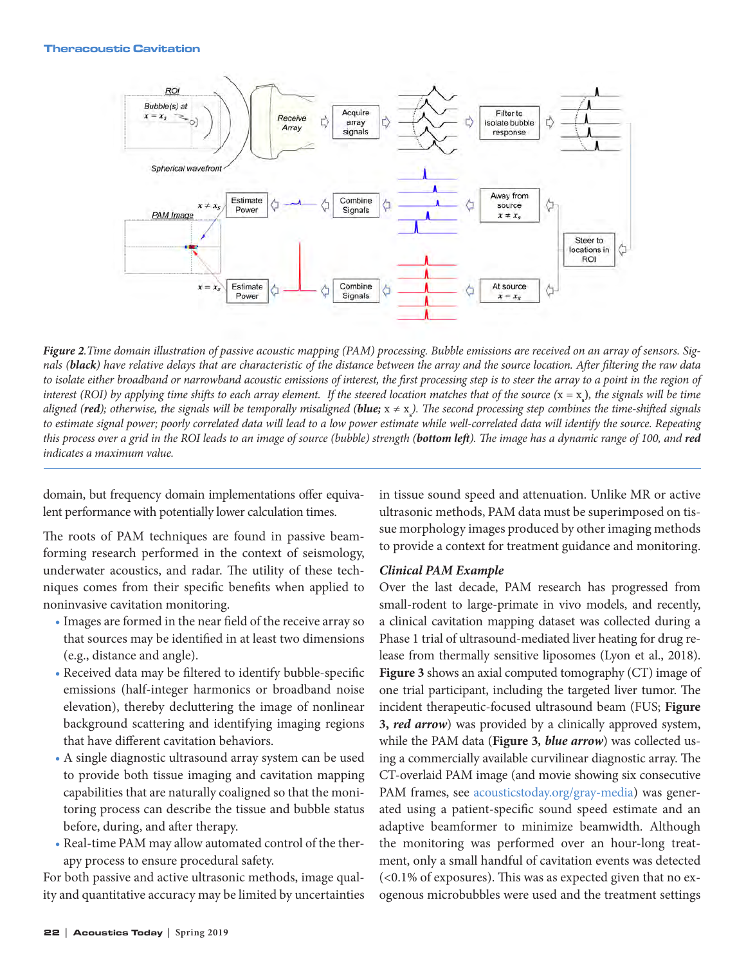

*Figure 2.Time domain illustration of passive acoustic mapping (PAM) processing. Bubble emissions are received on an array of sensors. Signals (black) have relative delays that are characteristic of the distance between the array and the source location. After filtering the raw data*  to isolate either broadband or narrowband acoustic emissions of interest, the first processing step is to steer the array to a point in the region of *interest (ROI) by applying time shifts to each array element. If the steered location matches that of the source (*x = x**<sup>s</sup> )***, the signals will be time aligned (red); otherwise, the signals will be temporally misaligned (blue;* x ≠ x**<sup>s</sup>** *). The second processing step combines the time-shifted signals to estimate signal power; poorly correlated data will lead to a low power estimate while well-correlated data will identify the source. Repeating this process over a grid in the ROI leads to an image of source (bubble) strength (bottom left). The image has a dynamic range of 100, and red indicates a maximum value.* 

domain, but frequency domain implementations offer equivalent performance with potentially lower calculation times.

The roots of PAM techniques are found in passive beamforming research performed in the context of seismology, underwater acoustics, and radar. The utility of these techniques comes from their specific benefits when applied to noninvasive cavitation monitoring.

- Images are formed in the near field of the receive array so that sources may be identified in at least two dimensions (e.g., distance and angle).
- Received data may be filtered to identify bubble-specific emissions (half-integer harmonics or broadband noise elevation), thereby decluttering the image of nonlinear background scattering and identifying imaging regions that have different cavitation behaviors.
- A single diagnostic ultrasound array system can be used to provide both tissue imaging and cavitation mapping capabilities that are naturally coaligned so that the monitoring process can describe the tissue and bubble status before, during, and after therapy.
- Real-time PAM may allow automated control of the therapy process to ensure procedural safety.

For both passive and active ultrasonic methods, image quality and quantitative accuracy may be limited by uncertainties in tissue sound speed and attenuation. Unlike MR or active ultrasonic methods, PAM data must be superimposed on tissue morphology images produced by other imaging methods to provide a context for treatment guidance and monitoring.

#### *Clinical PAM Example*

Over the last decade, PAM research has progressed from small-rodent to large-primate in vivo models, and recently, a clinical cavitation mapping dataset was collected during a Phase 1 trial of ultrasound-mediated liver heating for drug release from thermally sensitive liposomes (Lyon et al., 2018). **Figure 3** shows an axial computed tomography (CT) image of one trial participant, including the targeted liver tumor. The incident therapeutic-focused ultrasound beam (FUS; **Figure 3,** *red arrow*) was provided by a clinically approved system, while the PAM data (**Figure 3***, blue arrow*) was collected using a commercially available curvilinear diagnostic array. The CT-overlaid PAM image (and movie showing six consecutive PAM frames, see [acousticstoday.org/gray-media\)](https://acousticstoday.org/gray-media/) was generated using a patient-specific sound speed estimate and an adaptive beamformer to minimize beamwidth. Although the monitoring was performed over an hour-long treatment, only a small handful of cavitation events was detected (<0.1% of exposures). This was as expected given that no exogenous microbubbles were used and the treatment settings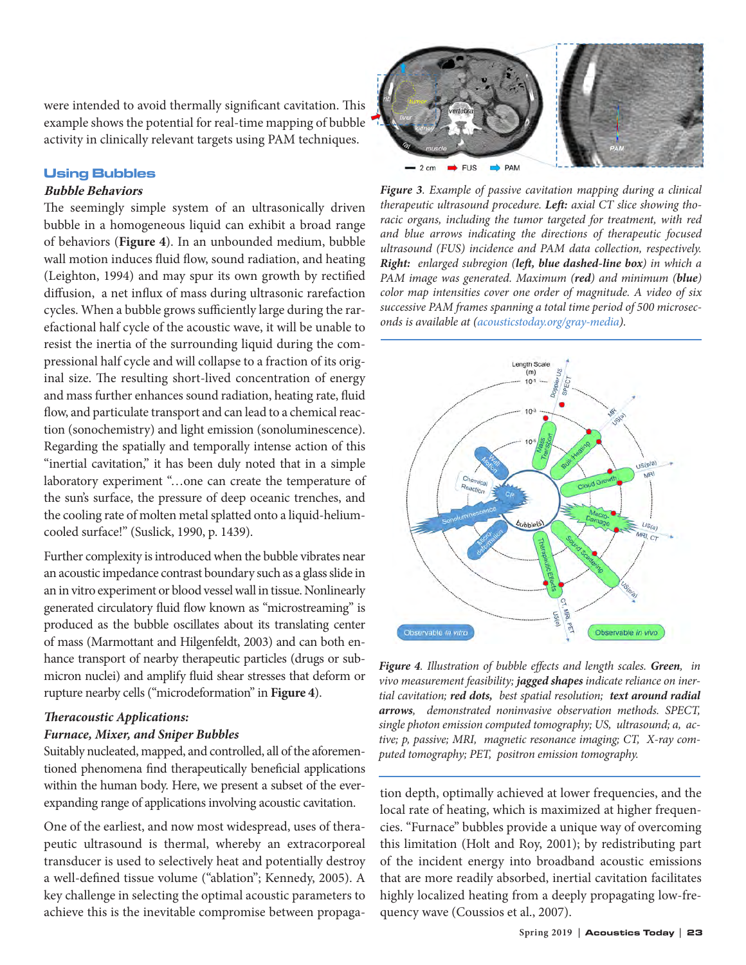were intended to avoid thermally significant cavitation. This example shows the potential for real-time mapping of bubble activity in clinically relevant targets using PAM techniques.

### Using Bubbles

### **Bubble Behaviors**

The seemingly simple system of an ultrasonically driven bubble in a homogeneous liquid can exhibit a broad range of behaviors (**Figure 4**). In an unbounded medium, bubble wall motion induces fluid flow, sound radiation, and heating (Leighton, 1994) and may spur its own growth by rectified diffusion, a net influx of mass during ultrasonic rarefaction cycles. When a bubble grows sufficiently large during the rarefactional half cycle of the acoustic wave, it will be unable to resist the inertia of the surrounding liquid during the compressional half cycle and will collapse to a fraction of its original size. The resulting short-lived concentration of energy and mass further enhances sound radiation, heating rate, fluid flow, and particulate transport and can lead to a chemical reaction (sonochemistry) and light emission (sonoluminescence). Regarding the spatially and temporally intense action of this "inertial cavitation," it has been duly noted that in a simple laboratory experiment "…one can create the temperature of the sun's surface, the pressure of deep oceanic trenches, and the cooling rate of molten metal splatted onto a liquid-heliumcooled surface!" (Suslick, 1990, p. 1439).

Further complexity is introduced when the bubble vibrates near an acoustic impedance contrast boundary such as a glass slide in an in vitro experiment or blood vessel wall in tissue. Nonlinearly generated circulatory fluid flow known as "microstreaming" is produced as the bubble oscillates about its translating center of mass (Marmottant and Hilgenfeldt, 2003) and can both enhance transport of nearby therapeutic particles (drugs or submicron nuclei) and amplify fluid shear stresses that deform or rupture nearby cells ("microdeformation" in **Figure 4**).

## *Theracoustic Applications:*

### *Furnace, Mixer, and Sniper Bubbles*

Suitably nucleated, mapped, and controlled, all of the aforementioned phenomena find therapeutically beneficial applications within the human body. Here, we present a subset of the everexpanding range of applications involving acoustic cavitation.

One of the earliest, and now most widespread, uses of therapeutic ultrasound is thermal, whereby an extracorporeal transducer is used to selectively heat and potentially destroy a well-defined tissue volume ("ablation"; Kennedy, 2005). A key challenge in selecting the optimal acoustic parameters to achieve this is the inevitable compromise between propaga-



*Figure 3. Example of passive cavitation mapping during a clinical therapeutic ultrasound procedure. Left: axial CT slice showing thoracic organs, including the tumor targeted for treatment, with red and blue arrows indicating the directions of therapeutic focused ultrasound (FUS) incidence and PAM data collection, respectively. Right: enlarged subregion (left, blue dashed-line box) in which a PAM image was generated. Maximum (red) and minimum (blue) color map intensities cover one order of magnitude. A video of six successive PAM frames spanning a total time period of 500 microseconds is available at (acousticstoday.org/gray-media).* 



*Figure 4. Illustration of bubble effects and length scales. Green, in vivo measurement feasibility; jagged shapes indicate reliance on inertial cavitation; red dots, best spatial resolution; text around radial arrows, demonstrated noninvasive observation methods. SPECT, single photon emission computed tomography; US, ultrasound; a, active; p, passive; MRI, magnetic resonance imaging; CT, X-ray computed tomography; PET, positron emission tomography.*

tion depth, optimally achieved at lower frequencies, and the local rate of heating, which is maximized at higher frequencies. "Furnace" bubbles provide a unique way of overcoming this limitation (Holt and Roy, 2001); by redistributing part of the incident energy into broadband acoustic emissions that are more readily absorbed, inertial cavitation facilitates highly localized heating from a deeply propagating low-frequency wave (Coussios et al., 2007).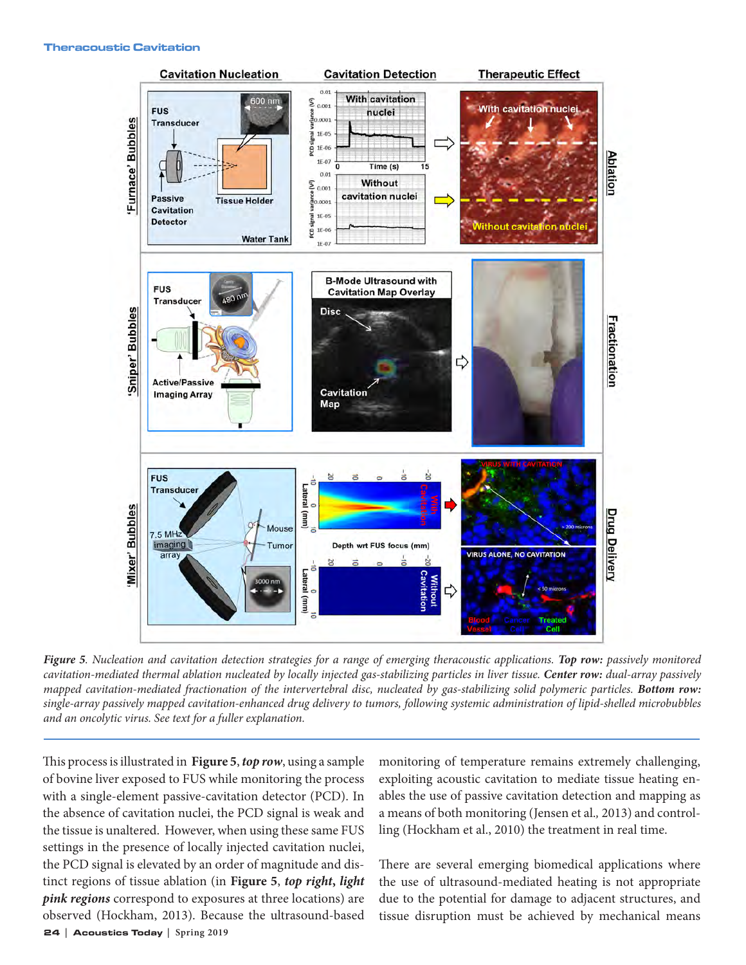

*Figure 5. Nucleation and cavitation detection strategies for a range of emerging theracoustic applications. Top row: passively monitored cavitation-mediated thermal ablation nucleated by locally injected gas-stabilizing particles in liver tissue. Center row: dual-array passively mapped cavitation-mediated fractionation of the intervertebral disc, nucleated by gas-stabilizing solid polymeric particles. Bottom row: single-array passively mapped cavitation-enhanced drug delivery to tumors, following systemic administration of lipid-shelled microbubbles and an oncolytic virus. See text for a fuller explanation.*

24 **|** Acoustics Today **| Spring 2019** This process is illustrated in **Figure 5**, *top row*, using a sample of bovine liver exposed to FUS while monitoring the process with a single-element passive-cavitation detector (PCD). In the absence of cavitation nuclei, the PCD signal is weak and the tissue is unaltered. However, when using these same FUS settings in the presence of locally injected cavitation nuclei, the PCD signal is elevated by an order of magnitude and distinct regions of tissue ablation (in **Figure 5**, *top right***,** *light pink regions* correspond to exposures at three locations) are observed (Hockham, 2013). Because the ultrasound-based

monitoring of temperature remains extremely challenging, exploiting acoustic cavitation to mediate tissue heating enables the use of passive cavitation detection and mapping as a means of both monitoring (Jensen et al.*,* 2013) and controlling (Hockham et al., 2010) the treatment in real time.

There are several emerging biomedical applications where the use of ultrasound-mediated heating is not appropriate due to the potential for damage to adjacent structures, and tissue disruption must be achieved by mechanical means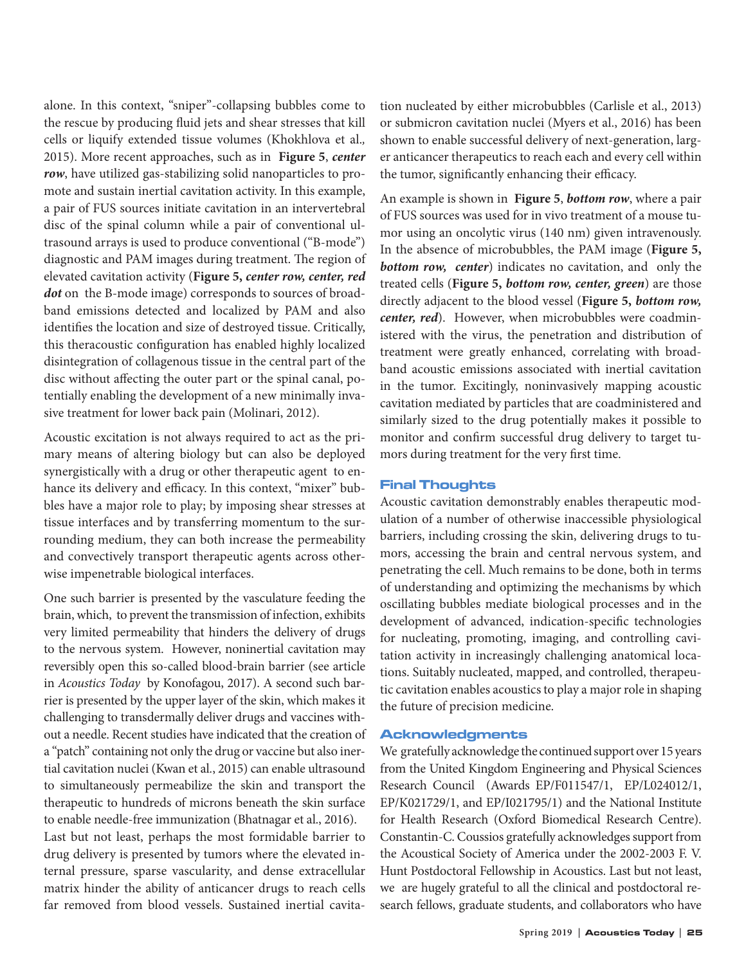alone. In this context, "sniper"-collapsing bubbles come to the rescue by producing fluid jets and shear stresses that kill cells or liquify extended tissue volumes (Khokhlova et al.*,* 2015). More recent approaches, such as in **Figure 5**, *center row*, have utilized gas-stabilizing solid nanoparticles to promote and sustain inertial cavitation activity. In this example, a pair of FUS sources initiate cavitation in an intervertebral disc of the spinal column while a pair of conventional ultrasound arrays is used to produce conventional ("B-mode") diagnostic and PAM images during treatment. The region of elevated cavitation activity (**Figure 5,** *center row, center, red dot* on the B-mode image) corresponds to sources of broadband emissions detected and localized by PAM and also identifies the location and size of destroyed tissue. Critically, this theracoustic configuration has enabled highly localized disintegration of collagenous tissue in the central part of the disc without affecting the outer part or the spinal canal, potentially enabling the development of a new minimally invasive treatment for lower back pain (Molinari, 2012).

Acoustic excitation is not always required to act as the primary means of altering biology but can also be deployed synergistically with a drug or other therapeutic agent to enhance its delivery and efficacy. In this context, "mixer" bubbles have a major role to play; by imposing shear stresses at tissue interfaces and by transferring momentum to the surrounding medium, they can both increase the permeability and convectively transport therapeutic agents across otherwise impenetrable biological interfaces.

One such barrier is presented by the vasculature feeding the brain, which, to prevent the transmission of infection, exhibits very limited permeability that hinders the delivery of drugs to the nervous system. However, noninertial cavitation may reversibly open this so-called blood-brain barrier (see article in *Acoustics Today* by Konofagou, 2017). A second such barrier is presented by the upper layer of the skin, which makes it challenging to transdermally deliver drugs and vaccines without a needle. Recent studies have indicated that the creation of a "patch" containing not only the drug or vaccine but also inertial cavitation nuclei (Kwan et al*.*, 2015) can enable ultrasound to simultaneously permeabilize the skin and transport the therapeutic to hundreds of microns beneath the skin surface to enable needle-free immunization (Bhatnagar et al., 2016). Last but not least, perhaps the most formidable barrier to drug delivery is presented by tumors where the elevated in-

ternal pressure, sparse vascularity, and dense extracellular matrix hinder the ability of anticancer drugs to reach cells far removed from blood vessels. Sustained inertial cavitation nucleated by either microbubbles (Carlisle et al., 2013) or submicron cavitation nuclei (Myers et al., 2016) has been shown to enable successful delivery of next-generation, larger anticancer therapeutics to reach each and every cell within the tumor, significantly enhancing their efficacy.

An example is shown in **Figure 5**, *bottom row*, where a pair of FUS sources was used for in vivo treatment of a mouse tumor using an oncolytic virus (140 nm) given intravenously. In the absence of microbubbles, the PAM image (**Figure 5,** *bottom row, center*) indicates no cavitation, and only the treated cells (**Figure 5,** *bottom row, center, green*) are those directly adjacent to the blood vessel (**Figure 5,** *bottom row, center, red*). However, when microbubbles were coadministered with the virus, the penetration and distribution of treatment were greatly enhanced, correlating with broadband acoustic emissions associated with inertial cavitation in the tumor. Excitingly, noninvasively mapping acoustic cavitation mediated by particles that are coadministered and similarly sized to the drug potentially makes it possible to monitor and confirm successful drug delivery to target tumors during treatment for the very first time.

#### Final Thoughts

Acoustic cavitation demonstrably enables therapeutic modulation of a number of otherwise inaccessible physiological barriers, including crossing the skin, delivering drugs to tumors, accessing the brain and central nervous system, and penetrating the cell. Much remains to be done, both in terms of understanding and optimizing the mechanisms by which oscillating bubbles mediate biological processes and in the development of advanced, indication-specific technologies for nucleating, promoting, imaging, and controlling cavitation activity in increasingly challenging anatomical locations. Suitably nucleated, mapped, and controlled, therapeutic cavitation enables acoustics to play a major role in shaping the future of precision medicine.

#### Acknowledgments

We gratefully acknowledge the continued support over 15 years from the United Kingdom Engineering and Physical Sciences Research Council (Awards EP/F011547/1, EP/L024012/1, EP/K021729/1, and EP/I021795/1) and the National Institute for Health Research (Oxford Biomedical Research Centre). Constantin-C. Coussios gratefully acknowledges support from the Acoustical Society of America under the 2002-2003 F. V. Hunt Postdoctoral Fellowship in Acoustics. Last but not least, we are hugely grateful to all the clinical and postdoctoral research fellows, graduate students, and collaborators who have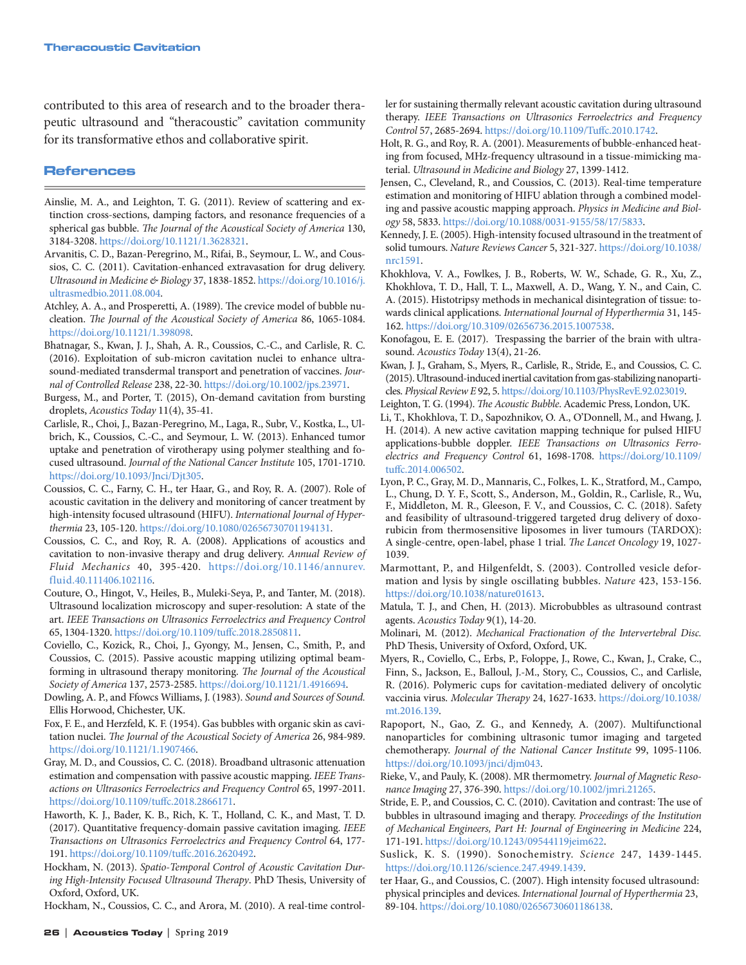contributed to this area of research and to the broader therapeutic ultrasound and "theracoustic" cavitation community for its transformative ethos and collaborative spirit.

#### References

- Ainslie, M. A., and Leighton, T. G. (2011). Review of scattering and extinction cross-sections, damping factors, and resonance frequencies of a spherical gas bubble. *The Journal of the Acoustical Society of America* 130, 3184-3208. https://doi.org/10.1121/1.3628321.
- Arvanitis, C. D., Bazan-Peregrino, M., Rifai, B., Seymour, L. W., and Coussios, C. C. (2011). Cavitation-enhanced extravasation for drug delivery. *Ultrasound in Medicine & Biology* 37, 1838-1852. https://doi.org/10.1016/j. ultrasmedbio.2011.08.004.
- Atchley, A. A., and Prosperetti, A. (1989). The crevice model of bubble nucleation. *The Journal of the Acoustical Society of America* 86, 1065-1084. https://doi.org/10.1121/1.398098.
- Bhatnagar, S., Kwan, J. J., Shah, A. R., Coussios, C.-C., and Carlisle, R. C. (2016). Exploitation of sub-micron cavitation nuclei to enhance ultrasound-mediated transdermal transport and penetration of vaccines. *Journal of Controlled Release* 238, 22-30. https://doi.org/10.1002/jps.23971.
- Burgess, M., and Porter, T. (2015), On-demand cavitation from bursting droplets, *Acoustics Today* 11(4), 35-41.
- Carlisle, R., Choi, J., Bazan-Peregrino, M., Laga, R., Subr, V., Kostka, L., Ulbrich, K., Coussios, C.-C., and Seymour, L. W. (2013). Enhanced tumor uptake and penetration of virotherapy using polymer stealthing and focused ultrasound. *Journal of the National Cancer Institute* 105, 1701-1710. https://doi.org/10.1093/Jnci/Djt305.
- Coussios, C. C., Farny, C. H., ter Haar, G., and Roy, R. A. (2007). Role of acoustic cavitation in the delivery and monitoring of cancer treatment by high-intensity focused ultrasound (HIFU). *International Journal of Hyperthermia* 23, 105-120. https://doi.org/10.1080/02656730701194131.
- Coussios, C. C., and Roy, R. A. (2008). Applications of acoustics and cavitation to non-invasive therapy and drug delivery. *Annual Review of Fluid Mechanics* 40, 395-420. https://doi.org/10.1146/annurev. fluid.40.111406.102116.
- Couture, O., Hingot, V., Heiles, B., Muleki-Seya, P., and Tanter, M. (2018). Ultrasound localization microscopy and super-resolution: A state of the art. *IEEE Transactions on Ultrasonics Ferroelectrics and Frequency Control*  65, 1304-1320. https://doi.org/10.1109/tuffc.2018.2850811.
- Coviello, C., Kozick, R., Choi, J., Gyongy, M., Jensen, C., Smith, P., and Coussios, C. (2015). Passive acoustic mapping utilizing optimal beamforming in ultrasound therapy monitoring. *The Journal of the Acoustical Society of America* 137, 2573-2585. https://doi.org/10.1121/1.4916694.

Dowling, A. P., and Ffowcs Williams, J. (1983). *Sound and Sources of Sound.* Ellis Horwood, Chichester, UK.

- Fox, F. E., and Herzfeld, K. F. (1954). Gas bubbles with organic skin as cavitation nuclei. *The Journal of the Acoustical Society of America* 26, 984-989. https://doi.org/10.1121/1.1907466.
- Gray, M. D., and Coussios, C. C. (2018). Broadband ultrasonic attenuation estimation and compensation with passive acoustic mapping. *IEEE Transactions on Ultrasonics Ferroelectrics and Frequency Control* 65, 1997-2011. https://doi.org/10.1109/tuffc.2018.2866171.
- Haworth, K. J., Bader, K. B., Rich, K. T., Holland, C. K., and Mast, T. D. (2017). Quantitative frequency-domain passive cavitation imaging. *IEEE Transactions on Ultrasonics Ferroelectrics and Frequency Control* 64, 177- 191. https://doi.org/10.1109/tuffc.2016.2620492.
- Hockham, N. (2013). *Spatio-Temporal Control of Acoustic Cavitation During High-Intensity Focused Ultrasound Therapy*. PhD Thesis, University of Oxford, Oxford, UK.

Hockham, N., Coussios, C. C., and Arora, M. (2010). A real-time control-

ler for sustaining thermally relevant acoustic cavitation during ultrasound therapy. *IEEE Transactions on Ultrasonics Ferroelectrics and Frequency Control* 57, 2685-2694. https://doi.org/10.1109/Tuffc.2010.1742.

- Holt, R. G., and Roy, R. A. (2001). Measurements of bubble-enhanced heating from focused, MHz-frequency ultrasound in a tissue-mimicking material. *Ultrasound in Medicine and Biology* 27, 1399-1412.
- Jensen, C., Cleveland, R., and Coussios, C. (2013). Real-time temperature estimation and monitoring of HIFU ablation through a combined modeling and passive acoustic mapping approach. *Physics in Medicine and Biology* 58, 5833. https://doi.org/10.1088/0031-9155/58/17/5833.
- Kennedy, J. E. (2005). High-intensity focused ultrasound in the treatment of solid tumours. *Nature Reviews Cancer* 5, 321-327. https://doi.org/10.1038/ nrc1591.
- Khokhlova, V. A., Fowlkes, J. B., Roberts, W. W., Schade, G. R., Xu, Z., Khokhlova, T. D., Hall, T. L., Maxwell, A. D., Wang, Y. N., and Cain, C. A. (2015). Histotripsy methods in mechanical disintegration of tissue: towards clinical applications. *International Journal of Hyperthermia* 31, 145- 162. https://doi.org/10.3109/02656736.2015.1007538.
- Konofagou, E. E. (2017). Trespassing the barrier of the brain with ultrasound. *Acoustics Today* 13(4), 21-26.
- Kwan, J. J., Graham, S., Myers, R., Carlisle, R., Stride, E., and Coussios, C. C. (2015). Ultrasound-induced inertial cavitation from gas-stabilizing nanoparticles. *Physical Review E* 92, 5. https://doi.org/10.1103/PhysRevE.92.023019.
- Leighton, T. G. (1994). *The Acoustic Bubble*. Academic Press, London, UK.
- Li, T., Khokhlova, T. D., Sapozhnikov, O. A., O'Donnell, M., and Hwang, J. H. (2014). A new active cavitation mapping technique for pulsed HIFU applications-bubble doppler. *IEEE Transactions on Ultrasonics Ferroelectrics and Frequency Control* 61, 1698-1708. https://doi.org/10.1109/ tuffc.2014.006502.
- Lyon, P. C., Gray, M. D., Mannaris, C., Folkes, L. K., Stratford, M., Campo, L., Chung, D. Y. F., Scott, S., Anderson, M., Goldin, R., Carlisle, R., Wu, F., Middleton, M. R., Gleeson, F. V., and Coussios, C. C. (2018). Safety and feasibility of ultrasound-triggered targeted drug delivery of doxorubicin from thermosensitive liposomes in liver tumours (TARDOX): A single-centre, open-label, phase 1 trial. *The Lancet Oncology* 19, 1027- 1039.
- Marmottant, P., and Hilgenfeldt, S. (2003). Controlled vesicle deformation and lysis by single oscillating bubbles. *Nature* 423, 153-156. https://doi.org/10.1038/nature01613.
- Matula, T. J., and Chen, H. (2013). Microbubbles as ultrasound contrast agents. *Acoustics Today* 9(1), 14-20.
- Molinari, M. (2012). *Mechanical Fractionation of the Intervertebral Disc.* PhD Thesis, University of Oxford, Oxford, UK.
- Myers, R., Coviello, C., Erbs, P., Foloppe, J., Rowe, C., Kwan, J., Crake, C., Finn, S., Jackson, E., Balloul, J.-M., Story, C., Coussios, C., and Carlisle, R. (2016). Polymeric cups for cavitation-mediated delivery of oncolytic vaccinia virus. *Molecular Therapy* 24, 1627-1633. https://doi.org/10.1038/ mt.2016.139.
- Rapoport, N., Gao, Z. G., and Kennedy, A. (2007). Multifunctional nanoparticles for combining ultrasonic tumor imaging and targeted chemotherapy. *Journal of the National Cancer Institute* 99, 1095-1106. https://doi.org/10.1093/jnci/djm043.
- Rieke, V., and Pauly, K. (2008). MR thermometry. *Journal of Magnetic Resonance Imaging* 27, 376-390. https://doi.org/10.1002/jmri.21265.
- Stride, E. P., and Coussios, C. C. (2010). Cavitation and contrast: The use of bubbles in ultrasound imaging and therapy. *Proceedings of the Institution of Mechanical Engineers, Part H: Journal of Engineering in Medicine* 224, 171-191. https://doi.org/10.1243/09544119jeim622.
- Suslick, K. S. (1990). Sonochemistry. *Science* 247, 1439-1445. https://doi.org/10.1126/science.247.4949.1439.
- ter Haar, G., and Coussios, C. (2007). High intensity focused ultrasound: physical principles and devices. *International Journal of Hyperthermia* 23, 89-104. https://doi.org/10.1080/02656730601186138.